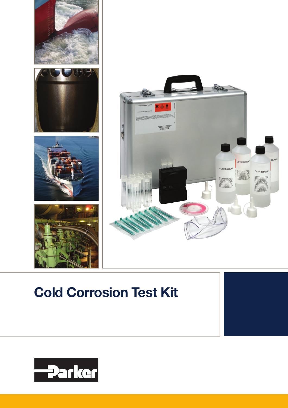



# Cold Corrosion Test Kit

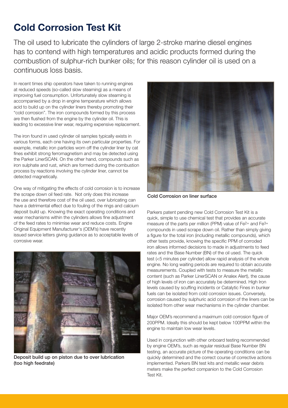## Cold Corrosion Test Kit

The oil used to lubricate the cylinders of large 2-stroke marine diesel engines has to contend with high temperatures and acidic products formed during the combustion of sulphur-rich bunker oils; for this reason cylinder oil is used on a continuous loss basis.

In recent times ship operators have taken to running engines at reduced speeds (so-called slow steaming) as a means of improving fuel consumption. Unfortunately slow steaming is accompanied by a drop in engine temperature which allows acid to build up on the cylinder liners thereby promoting their "cold corrosion". The iron compounds formed by this process are then flushed from the engine by the cylinder oil. This is leading to excessive liner wear, requiring expensive replacement.

The iron found in used cylinder oil samples typically exists in various forms, each one having its own particular properties. For example, metallic iron particles worn off the cylinder liner by cat fines exhibit strong ferromagnetism and may be detected using the Parker LinerSCAN. On the other hand, compounds such as iron sulphate and rust, which are formed during the combustion process by reactions involving the cylinder liner, cannot be detected magnetically.

One way of mitigating the effects of cold corrosion is to increase the scrape down oil feed rate. Not only does this increase the use and therefore cost of the oil used, over lubricating can have a detrimental effect due to fouling of the rings and calcium deposit build up. Knowing the exact operating conditions and wear mechanisms within the cylinders allows fine adjustment of the feed rates to minimise wear and reduce costs. Engine Original Equipment Manufacturer's (OEM's) have recently issued service letters giving guidance as to acceptable levels of corrosive wear.



Deposit build up on piston due to over lubrication (too high feedrate)



Cold Corrosion on liner surface

Parkers patent pending new Cold Corrosion Test Kit is a quick, simple to use chemical test that provides an accurate measure of the parts per million (PPM) value of Fe2+ and Fe3+ compounds in used scrape down oil. Rather than simply giving a figure for the total iron (including metallic compounds), which other tests provide, knowing the specific PPM of corroded iron allows informed decisions to made in adjustments to feed rates and the Base Number (BN) of the oil used. The quick test (<5 minutes per cylinder) allow rapid analysis of the whole engine. No long waiting periods are required to obtain accurate measurements. Coupled with tests to measure the metallic content (such as Parker LinerSCAN or Analex Alert), the cause of high levels of iron can accurately be determined. High Iron levels caused by scuffing incidents or Catalytic Fines in bunker fuels can be isolated from cold corrosion issues. Conversely, corrosion caused by sulphuric acid corrosion of the liners can be isolated from other wear mechanisms in the cylinder chamber.

Major OEM's recommend a maximum cold corrosion figure of 200PPM. Ideally this should be kept below 100PPM within the engine to maintain low wear levels.

Used in conjunction with other onboard testing recommended by engine OEM's, such as regular residual Base Number BN testing, an accurate picture of the operating conditions can be quickly determined and the correct course of corrective actions implemented. Parkers BN test kits and metallic wear debris meters make the perfect companion to the Cold Corrosion Test Kit.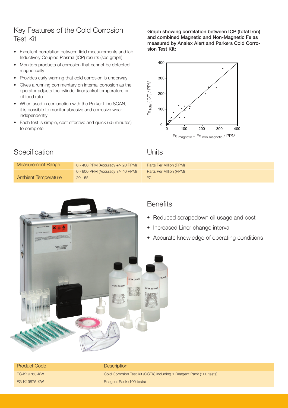## Key Features of the Cold Corrosion Test Kit

- Excellent correlation between field measurements and lab Inductively Coupled Plasma (ICP) results (see graph)
- Monitors products of corrosion that cannot be detected magnetically
- Provides early warning that cold corrosion is underway
- Gives a running commentary on internal corrosion as the operator adjusts the cylinder liner jacket temperature or oil feed rate
- When used in conjunction with the Parker LinerSCAN, it is possible to monitor abrasive and corrosive wear independently
- Each test is simple, cost effective and quick (<5 minutes) to complete

Graph showing correlation between ICP (total Iron) and combined Magnetic and Non-Magnetic Fe as measured by Analex Alert and Parkers Cold Corrosion Test Kit:



| Measurement Range   | $0 - 400$ PPM (Accuracy +/- 20 PPM)   | Parts Per Million (PPM) |
|---------------------|---------------------------------------|-------------------------|
|                     | $0 - 800$ PPM (Accuracy $+/- 40$ PPM) | Parts Per Million (PPM) |
| Ambient Temperature | $20 - 55$                             | OC                      |



### **Benefits**

- Reduced scrapedown oil usage and cost
- Increased Liner change interval
- Accurate knowledge of operating conditions

| <b>Product Code</b> | <b>Description</b>                                                  |
|---------------------|---------------------------------------------------------------------|
| FG-K19763-KW        | Cold Corrosion Test Kit (CCTK) including 1 Reagent Pack (100 tests) |
| FG-K19875-KW        | Reagent Pack (100 tests)                                            |

## Specification Units